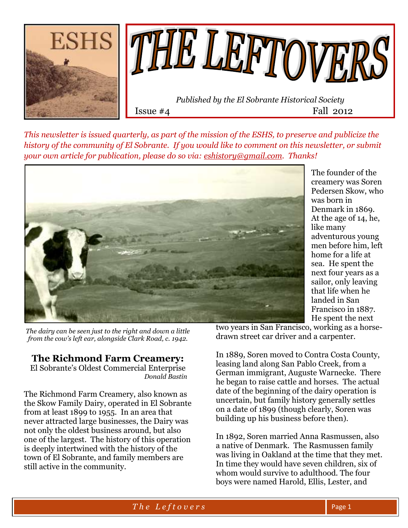



Issue  $#4$  Fall 2012

*This newsletter is issued quarterly, as part of the mission of the ESHS, to preserve and publicize the history of the community of El Sobrante. If you would like to comment on this newsletter, or submit your own article for publication, please do so via: [eshistory@gmail.com.](mailto:eshistory@gmail.com) Thanks!*



The founder of the creamery was Soren Pedersen Skow, who was born in Denmark in 1869. At the age of 14, he, like many adventurous young men before him, left home for a life at sea. He spent the next four years as a sailor, only leaving that life when he landed in San Francisco in 1887. He spent the next

*The dairy can be seen just to the right and down a little from the cow's left ear, alongside Clark Road, c. 1942.* 

# **The Richmond Farm Creamery:**

El Sobrante's Oldest Commercial Enterprise  *Donald Bastin*

The Richmond Farm Creamery, also known as the Skow Family Dairy, operated in El Sobrante from at least 1899 to 1955. In an area that never attracted large businesses, the Dairy was not only the oldest business around, but also one of the largest. The history of this operation is deeply intertwined with the history of the town of El Sobrante, and family members are still active in the community.

two years in San Francisco, working as a horsedrawn street car driver and a carpenter.

In 1889, Soren moved to Contra Costa County, leasing land along San Pablo Creek, from a German immigrant, Auguste Warnecke. There he began to raise cattle and horses. The actual date of the beginning of the dairy operation is uncertain, but family history generally settles on a date of 1899 (though clearly, Soren was building up his business before then).

In 1892, Soren married Anna Rasmussen, also a native of Denmark. The Rasmussen family was living in Oakland at the time that they met. In time they would have seven children, six of whom would survive to adulthood. The four boys were named Harold, Ellis, Lester, and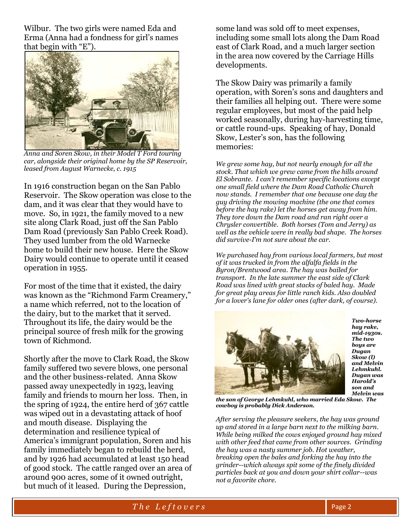Wilbur. The two girls were named Eda and Erma (Anna had a fondness for girl's names that begin with "E").



*Anna and Soren Skow, in their Model T Ford touring car, alongside their original home by the SP Reservoir, leased from August Warnecke, c. 1915*

In 1916 construction began on the San Pablo Reservoir. The Skow operation was close to the dam, and it was clear that they would have to move. So, in 1921, the family moved to a new site along Clark Road, just off the San Pablo Dam Road (previously San Pablo Creek Road). They used lumber from the old Warnecke home to build their new house. Here the Skow Dairy would continue to operate until it ceased operation in 1955.

For most of the time that it existed, the dairy was known as the "Richmond Farm Creamery," a name which referred, not to the location of the dairy, but to the market that it served. Throughout its life, the dairy would be the principal source of fresh milk for the growing town of Richmond.

Shortly after the move to Clark Road, the Skow family suffered two severe blows, one personal and the other business-related. Anna Skow passed away unexpectedly in 1923, leaving family and friends to mourn her loss. Then, in the spring of 1924, the entire herd of 367 cattle was wiped out in a devastating attack of hoof and mouth disease. Displaying the determination and resilience typical of America's immigrant population, Soren and his family immediately began to rebuild the herd, and by 1926 had accumulated at least 150 head of good stock. The cattle ranged over an area of around 900 acres, some of it owned outright, but much of it leased. During the Depression,

some land was sold off to meet expenses, including some small lots along the Dam Road east of Clark Road, and a much larger section in the area now covered by the Carriage Hills developments.

The Skow Dairy was primarily a family operation, with Soren's sons and daughters and their families all helping out. There were some regular employees, but most of the paid help worked seasonally, during hay-harvesting time, or cattle round-ups. Speaking of hay, Donald Skow, Lester's son, has the following memories:

*We grew some hay, but not nearly enough for all the stock. That which we grew came from the hills around El Sobrante. I can't remember specific locations except one small field where the Dam Road Catholic Church now stands. I remember that one because one day the guy driving the mowing machine (the one that comes before the hay rake) let the horses get away from him. They tore down the Dam road and ran right over a Chrysler convertible. Both horses (Tom and Jerry) as well as the vehicle were in really bad shape. The horses did survive-I'm not sure about the car.*

*We purchased hay from various local farmers, but most of it was trucked in from the alfalfa fields in the Byron/Brentwood area. The hay was bailed for transport. In the late summer the east side of Clark Road was lined with great stacks of baled hay. Made for great play areas for little ranch kids. Also doubled for a lover's lane for older ones (after dark, of course).*



*Two-horse hay rake, mid-1930s. The two boys are Dugan Skow (l) and Melvin Lehmkuhl. Dugan was Harold's son and Melvin was* 

*the son of George Lehmkuhl, who married Eda Skow. The cowboy is probably Dick Anderson.*

*After serving the pleasure seekers, the hay was ground up and stored in a large barn next to the milking barn. While being milked the cows enjoyed ground hay mixed with other feed that came from other sources. Grinding the hay was a nasty summer job. Hot weather, breaking open the bales and forking the hay into the grinder--which always spit some of the finely divided particles back at you and down your shirt collar--was not a favorite chore.*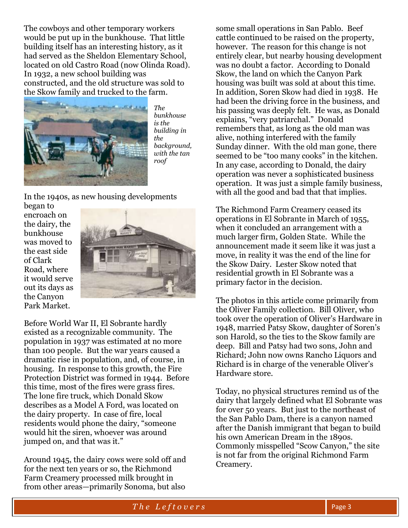The cowboys and other temporary workers would be put up in the bunkhouse. That little building itself has an interesting history, as it had served as the Sheldon Elementary School, located on old Castro Road (now Olinda Road). In 1932, a new school building was constructed, and the old structure was sold to the Skow family and trucked to the farm.



*The bunkhouse is the building in the background, with the tan roof*

In the 1940s, as new housing developments

began to encroach on the dairy, the bunkhouse was moved to the east side of Clark Road, where it would serve out its days as the Canyon Park Market.



Before World War II, El Sobrante hardly existed as a recognizable community. The population in 1937 was estimated at no more than 100 people. But the war years caused a dramatic rise in population, and, of course, in housing. In response to this growth, the Fire Protection District was formed in 1944. Before this time, most of the fires were grass fires. The lone fire truck, which Donald Skow describes as a Model A Ford, was located on the dairy property. In case of fire, local residents would phone the dairy, "someone would hit the siren, whoever was around jumped on, and that was it."

Around 1945, the dairy cows were sold off and for the next ten years or so, the Richmond Farm Creamery processed milk brought in from other areas—primarily Sonoma, but also

some small operations in San Pablo. Beef cattle continued to be raised on the property, however. The reason for this change is not entirely clear, but nearby housing development was no doubt a factor. According to Donald Skow, the land on which the Canyon Park housing was built was sold at about this time. In addition, Soren Skow had died in 1938. He had been the driving force in the business, and his passing was deeply felt. He was, as Donald explains, "very patriarchal." Donald remembers that, as long as the old man was alive, nothing interfered with the family Sunday dinner. With the old man gone, there seemed to be "too many cooks" in the kitchen. In any case, according to Donald, the dairy operation was never a sophisticated business operation. It was just a simple family business, with all the good and bad that that implies.

The Richmond Farm Creamery ceased its operations in El Sobrante in March of 1955, when it concluded an arrangement with a much larger firm, Golden State. While the announcement made it seem like it was just a move, in reality it was the end of the line for the Skow Dairy. Lester Skow noted that residential growth in El Sobrante was a primary factor in the decision.

The photos in this article come primarily from the Oliver Family collection. Bill Oliver, who took over the operation of Oliver's Hardware in 1948, married Patsy Skow, daughter of Soren's son Harold, so the ties to the Skow family are deep. Bill and Patsy had two sons, John and Richard; John now owns Rancho Liquors and Richard is in charge of the venerable Oliver's Hardware store.

Today, no physical structures remind us of the dairy that largely defined what El Sobrante was for over 50 years. But just to the northeast of the San Pablo Dam, there is a canyon named after the Danish immigrant that began to build his own American Dream in the 1890s. Commonly misspelled "Scow Canyon," the site is not far from the original Richmond Farm Creamery.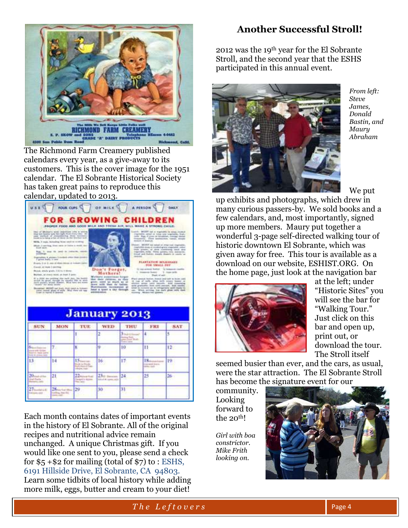

The Richmond Farm Creamery published calendars every year, as a give-away to its customers. This is the cover image for the 1951 calendar. The El Sobrante Historical Society has taken great pains to reproduce this calendar, updated to 2013.



Each month contains dates of important events in the history of El Sobrante. All of the original recipes and nutritional advice remain unchanged. A unique Christmas gift. If you would like one sent to you, please send a check for  $$5 + $2$  for mailing (total of  $$7)$  to : ESHS, 6191 Hillside Drive, El Sobrante, CA 94803. Learn some tidbits of local history while adding more milk, eggs, butter and cream to your diet!

# **Another Successful Stroll!**

2012 was the 19th year for the El Sobrante Stroll, and the second year that the ESHS participated in this annual event.



*From left: Steve James, Donald Bastin, and Maury Abraham*

We put

up exhibits and photographs, which drew in many curious passers-by. We sold books and a few calendars, and, most importantly, signed up more members. Maury put together a wonderful 3-page self-directed walking tour of historic downtown El Sobrante, which was given away for free. This tour is available as a download on our website, ESHIST.ORG. On the home page, just look at the navigation bar



at the left; under "Historic Sites" you will see the bar for "Walking Tour." Just click on this bar and open up, print out, or download the tour. The Stroll itself

seemed busier than ever, and the cars, as usual, were the star attraction. The El Sobrante Stroll has become the signature event for our

community. Looking forward to the 20<sup>th!</sup>

*Girl with boa constrictor. Mike Frith looking on.*

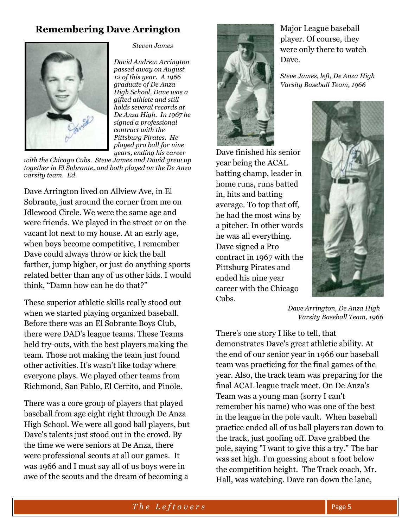# **Remembering Dave Arrington**



*Steven James*

*David Andrew Arrington passed away on August 12 of this year. A 1966 graduate of De Anza High School, Dave was a gifted athlete and still holds several records at De Anza High. In 1967 he signed a professional contract with the Pittsburg Pirates. He played pro ball for nine years, ending his career* 

*with the Chicago Cubs. Steve James and David grew up together in El Sobrante, and both played on the De Anza varsity team. Ed.*

Dave Arrington lived on Allview Ave, in El Sobrante, just around the corner from me on Idlewood Circle. We were the same age and were friends. We played in the street or on the vacant lot next to my house. At an early age, when boys become competitive, I remember Dave could always throw or kick the ball farther, jump higher, or just do anything sports related better than any of us other kids. I would think, "Damn how can he do that?"

These superior athletic skills really stood out when we started playing organized baseball. Before there was an El Sobrante Boys Club, there were DAD's league teams. These Teams held try-outs, with the best players making the team. Those not making the team just found other activities. It's wasn't like today where everyone plays. We played other teams from Richmond, San Pablo, El Cerrito, and Pinole.

There was a core group of players that played baseball from age eight right through De Anza High School. We were all good ball players, but Dave's talents just stood out in the crowd. By the time we were seniors at De Anza, there were professional scouts at all our games. It was 1966 and I must say all of us boys were in awe of the scouts and the dream of becoming a



Major League baseball player. Of course, they were only there to watch Dave.

*Steve James, left, De Anza High Varsity Baseball Team, 1966*

Dave finished his senior year being the ACAL batting champ, leader in home runs, runs batted in, hits and batting average. To top that off, he had the most wins by a pitcher. In other words he was all everything. Dave signed a Pro contract in 1967 with the Pittsburg Pirates and ended his nine year career with the Chicago Cubs.



*Dave Arrington, De Anza High Varsity Baseball Team, 1966*

There's one story I like to tell, that demonstrates Dave's great athletic ability. At the end of our senior year in 1966 our baseball team was practicing for the final games of the year. Also, the track team was preparing for the final ACAL league track meet. On De Anza's Team was a young man (sorry I can't remember his name) who was one of the best in the league in the pole vault. When baseball practice ended all of us ball players ran down to the track, just goofing off. Dave grabbed the pole, saying "I want to give this a try." The bar was set high. I'm guessing about a foot below the competition height. The Track coach, Mr. Hall, was watching. Dave ran down the lane,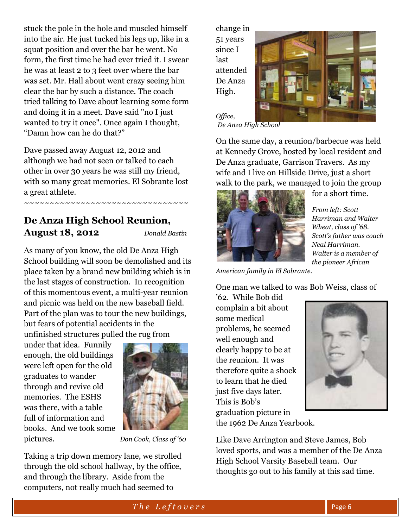stuck the pole in the hole and muscled himself into the air. He just tucked his legs up, like in a squat position and over the bar he went. No form, the first time he had ever tried it. I swear he was at least 2 to 3 feet over where the bar was set. Mr. Hall about went crazy seeing him clear the bar by such a distance. The coach tried talking to Dave about learning some form and doing it in a meet. Dave said "no I just wanted to try it once". Once again I thought, "Damn how can he do that?"

Dave passed away August 12, 2012 and although we had not seen or talked to each other in over 30 years he was still my friend, with so many great memories. El Sobrante lost a great athlete.

~~~~~~~~~~~~~~~~~~~~~~~~~~~~~~~

# **De Anza High School Reunion, August 18, 2012** *Donald Bastin*

As many of you know, the old De Anza High School building will soon be demolished and its place taken by a brand new building which is in the last stages of construction. In recognition of this momentous event, a multi-year reunion and picnic was held on the new baseball field. Part of the plan was to tour the new buildings, but fears of potential accidents in the unfinished structures pulled the rug from

under that idea. Funnily enough, the old buildings were left open for the old graduates to wander through and revive old memories. The ESHS was there, with a table full of information and books. And we took some pictures. *Don Cook, Class of '60*



Taking a trip down memory lane, we strolled through the old school hallway, by the office, and through the library. Aside from the computers, not really much had seemed to

change in 51 years since I last attended De Anza High.



*Office, De Anza High School*

On the same day, a reunion/barbecue was held at Kennedy Grove, hosted by local resident and De Anza graduate, Garrison Travers. As my wife and I live on Hillside Drive, just a short walk to the park, we managed to join the group



for a short time.

*From left: Scott Harriman and Walter Wheat, class of '68. Scott's father was coach Neal Harriman. Walter is a member of the pioneer African* 

*American family in El Sobrante.*

One man we talked to was Bob Weiss, class of

'62. While Bob did complain a bit about some medical problems, he seemed well enough and clearly happy to be at the reunion. It was therefore quite a shock to learn that he died just five days later. This is Bob's graduation picture in



the 1962 De Anza Yearbook.

Like Dave Arrington and Steve James, Bob loved sports, and was a member of the De Anza High School Varsity Baseball team. Our thoughts go out to his family at this sad time.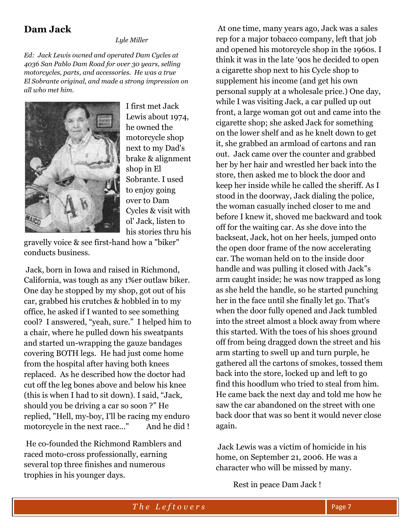## **Dam Jack**

 *Lyle Miller*

*Ed: Jack Lewis owned and operated Dam Cycles at 4036 San Pablo Dam Road for over 30 years, selling motorcycles, parts, and accessories. He was a true El Sobrante original, and made a strong impression on all who met him.* 



I first met Jack Lewis about 1974, he owned the motorcycle shop next to my Dad's brake & alignment shop in El Sobrante. I used to enjoy going over to Dam Cycles & visit with ol' Jack, listen to his stories thru his

gravelly voice & see first-hand how a "biker" conducts business.

Jack, born in Iowa and raised in Richmond, California, was tough as any 1%er outlaw biker. One day he stopped by my shop, got out of his car, grabbed his crutches & hobbled in to my office, he asked if I wanted to see something cool? I answered, "yeah, sure." I helped him to a chair, where he pulled down his sweatpants and started un-wrapping the gauze bandages covering BOTH legs. He had just come home from the hospital after having both knees replaced. As he described how the doctor had cut off the leg bones above and below his knee (this is when I had to sit down). I said, "Jack, should you be driving a car so soon ?" He replied, "Hell, my-boy, I'll be racing my enduro motorcycle in the next race..." And he did!

He co-founded the Richmond Ramblers and raced moto-cross professionally, earning several top three finishes and numerous trophies in his younger days.

At one time, many years ago, Jack was a sales rep for a major tobacco company, left that job and opened his motorcycle shop in the 1960s. I think it was in the late '90s he decided to open a cigarette shop next to his Cycle shop to supplement his income (and get his own personal supply at a wholesale price.) One day, while I was visiting Jack, a car pulled up out front, a large woman got out and came into the cigarette shop; she asked Jack for something on the lower shelf and as he knelt down to get it, she grabbed an armload of cartons and ran out. Jack came over the counter and grabbed her by her hair and wrestled her back into the store, then asked me to block the door and keep her inside while he called the sheriff. As I stood in the doorway, Jack dialing the police, the woman casually inched closer to me and before I knew it, shoved me backward and took off for the waiting car. As she dove into the backseat, Jack, hot on her heels, jumped onto the open door frame of the now accelerating car. The woman held on to the inside door handle and was pulling it closed with Jack"s arm caught inside; he was now trapped as long as she held the handle, so he started punching her in the face until she finally let go. That's when the door fully opened and Jack tumbled into the street almost a block away from where this started. With the toes of his shoes ground off from being dragged down the street and his arm starting to swell up and turn purple, he gathered all the cartons of smokes, tossed them back into the store, locked up and left to go find this hoodlum who tried to steal from him. He came back the next day and told me how he saw the car abandoned on the street with one back door that was so bent it would never close again.

Jack Lewis was a victim of homicide in his home, on September 21, 2006. He was a character who will be missed by many.

Rest in peace Dam Jack !